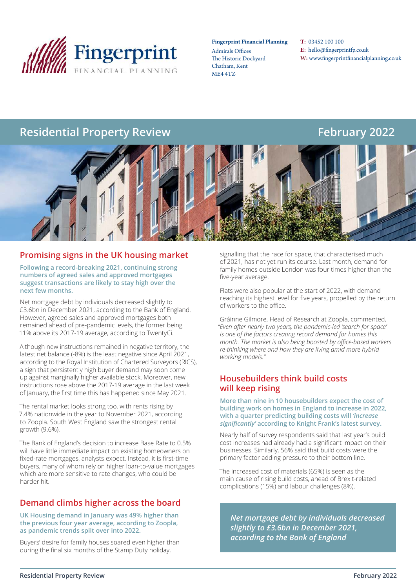

#### Fingerprint Financial Planning

Admirals Offices The Historic Dockyard Chatham, Kent ME4 4TZ

T: 03452 100 100 E: hello@fingerprintfp.co.uk W: www.fingerprintfinancialplanning.co.uk

## **Residential Property Review Equipment Residential Property Review February 2022**



#### **Promising signs in the UK housing market**

**Following a record-breaking 2021, continuing strong numbers of agreed sales and approved mortgages suggest transactions are likely to stay high over the next few months.**

Net mortgage debt by individuals decreased slightly to £3.6bn in December 2021, according to the Bank of England. However, agreed sales and approved mortgages both remained ahead of pre-pandemic levels, the former being 11% above its 2017-19 average, according to TwentyCi.

Although new instructions remained in negative territory, the latest net balance (-8%) is the least negative since April 2021, according to the Royal Institution of Chartered Surveyors (RICS), a sign that persistently high buyer demand may soon come up against marginally higher available stock. Moreover, new instructions rose above the 2017-19 average in the last week of January, the first time this has happened since May 2021.

The rental market looks strong too, with rents rising by 7.4% nationwide in the year to November 2021, according to Zoopla. South West England saw the strongest rental growth (9.6%).

The Bank of England's decision to increase Base Rate to 0.5% will have little immediate impact on existing homeowners on fixed-rate mortgages, analysts expect. Instead, it is first-time buyers, many of whom rely on higher loan-to-value mortgages which are more sensitive to rate changes, who could be harder hit.

#### **Demand climbs higher across the board**

**UK Housing demand in January was 49% higher than the previous four year average, according to Zoopla, as pandemic trends spilt over into 2022.**

Buyers' desire for family houses soared even higher than during the final six months of the Stamp Duty holiday,

signalling that the race for space, that characterised much of 2021, has not yet run its course. Last month, demand for family homes outside London was four times higher than the five-year average.

Flats were also popular at the start of 2022, with demand reaching its highest level for five years, propelled by the return of workers to the office.

Gráinne Gilmore, Head of Research at Zoopla, commented, *"Even after nearly two years, the pandemic-led 'search for space' is one of the factors creating record demand for homes this month. The market is also being boosted by office-based workers re-thinking where and how they are living amid more hybrid working models."*

#### **Housebuilders think build costs will keep rising**

**More than nine in 10 housebuilders expect the cost of building work on homes in England to increase in 2022, with a quarter predicting building costs will** *'increase significantly'* **according to Knight Frank's latest survey.**

Nearly half of survey respondents said that last year's build cost increases had already had a significant impact on their businesses. Similarly, 56% said that build costs were the primary factor adding pressure to their bottom line.

The increased cost of materials (65%) is seen as the main cause of rising build costs, ahead of Brexit-related complications (15%) and labour challenges (8%).

*Net mortgage debt by individuals decreased slightly to £3.6bn in December 2021, according to the Bank of England*